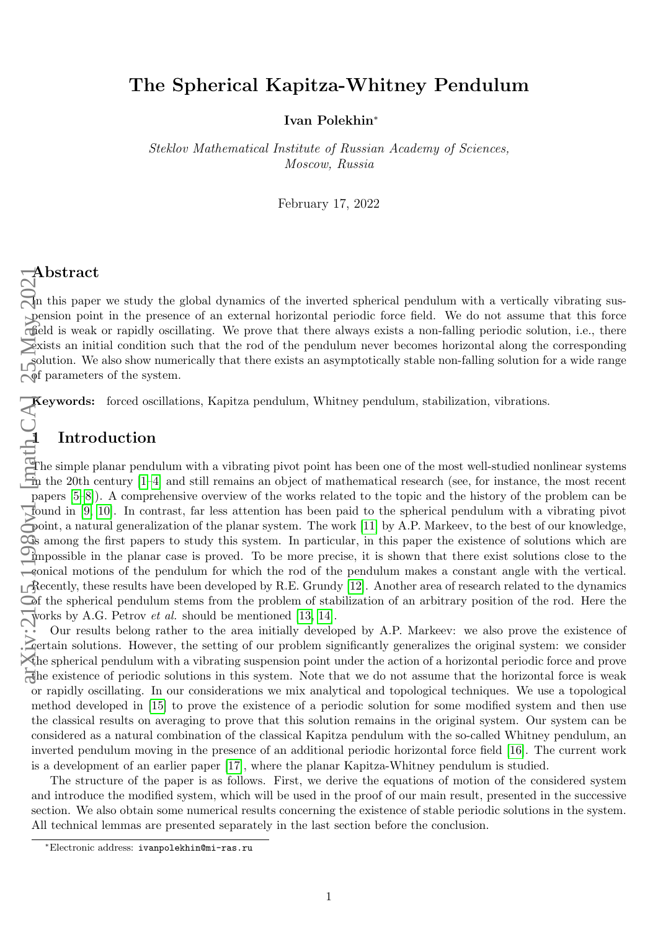# The Spherical Kapitza-Whitney Pendulum

Ivan Polekhin<sup>∗</sup>

Steklov Mathematical Institute of Russian Academy of Sciences, Moscow, Russia

February 17, 2022

In this paper we study the global dynamics of the inverted spherical pendulum with a vertically vibrating suspension point in the presence of an external horizontal periodic force field. We do not assume that this force field is weak or rapidly oscillating. We prove that there always exists a non-falling periodic solution, i.e., there exists an initial condition such that the rod of the pendulum never becomes horizontal along the corresponding solution. We also show numerically that there exists an asymptotically stable non-falling solution for a wide range  $\phi$ f parameters of the system.

Keywords: forced oscillations, Kapitza pendulum, Whitney pendulum, stabilization, vibrations.

## 1 Introduction

The simple planar pendulum with a vibrating pivot point has been one of the most well-studied nonlinear systems in the 20th century [\[1–](#page-8-0)[4\]](#page-8-1) and still remains an object of mathematical research (see, for instance, the most recent papers [\[5–](#page-8-2)[8\]](#page-8-3)). A comprehensive overview of the works related to the topic and the history of the problem can be found in [\[9,](#page-8-4) [10\]](#page-8-5). In contrast, far less attention has been paid to the spherical pendulum with a vibrating pivot point, a natural generalization of the planar system. The work [\[11\]](#page-8-6) by A.P. Markeev, to the best of our knowledge,  $\infty$  among the first papers to study this system. In particular, in this paper the existence of solutions which are impossible in the planar case is proved. To be more precise, it is shown that there exist solutions close to the conical motions of the pendulum for which the rod of the pendulum makes a constant angle with the vertical. Recently, these results have been developed by R.E. Grundy [\[12\]](#page-8-7). Another area of research related to the dynamics of the spherical pendulum stems from the problem of stabilization of an arbitrary position of the rod. Here the works by A.G. Petrov *et al.* should be mentioned [\[13,](#page-8-8) [14\]](#page-9-0). arXiv:2105.11980v1 [math.CA] 25 May 2021

Our results belong rather to the area initially developed by A.P. Markeev: we also prove the existence of **Certain solutions.** However, the setting of our problem significantly generalizes the original system: we consider the spherical pendulum with a vibrating suspension point under the action of a horizontal periodic force and prove the existence of periodic solutions in this system. Note that we do not assume that the horizontal force is weak or rapidly oscillating. In our considerations we mix analytical and topological techniques. We use a topological method developed in [\[15\]](#page-9-1) to prove the existence of a periodic solution for some modified system and then use the classical results on averaging to prove that this solution remains in the original system. Our system can be considered as a natural combination of the classical Kapitza pendulum with the so-called Whitney pendulum, an inverted pendulum moving in the presence of an additional periodic horizontal force field [\[16\]](#page-9-2). The current work is a development of an earlier paper [\[17\]](#page-9-3), where the planar Kapitza-Whitney pendulum is studied.

The structure of the paper is as follows. First, we derive the equations of motion of the considered system and introduce the modified system, which will be used in the proof of our main result, presented in the successive section. We also obtain some numerical results concerning the existence of stable periodic solutions in the system. All technical lemmas are presented separately in the last section before the conclusion.

<sup>∗</sup>Electronic address: ivanpolekhin@mi-ras.ru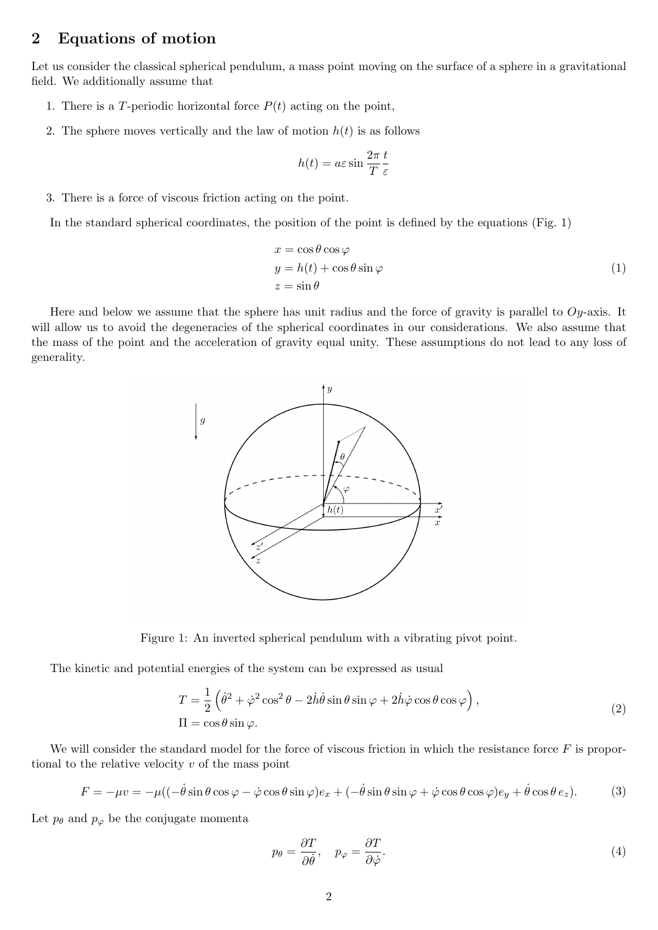### 2 Equations of motion

Let us consider the classical spherical pendulum, a mass point moving on the surface of a sphere in a gravitational field. We additionally assume that

- 1. There is a T-periodic horizontal force  $P(t)$  acting on the point,
- 2. The sphere moves vertically and the law of motion  $h(t)$  is as follows

$$
h(t) = a\varepsilon \sin \frac{2\pi}{T} \frac{t}{\varepsilon}
$$

3. There is a force of viscous friction acting on the point.

In the standard spherical coordinates, the position of the point is defined by the equations (Fig. 1)

$$
x = \cos \theta \cos \varphi
$$
  
\n
$$
y = h(t) + \cos \theta \sin \varphi
$$
  
\n
$$
z = \sin \theta
$$
\n(1)

Here and below we assume that the sphere has unit radius and the force of gravity is parallel to  $Oy$ -axis. It will allow us to avoid the degeneracies of the spherical coordinates in our considerations. We also assume that the mass of the point and the acceleration of gravity equal unity. These assumptions do not lead to any loss of generality.



Figure 1: An inverted spherical pendulum with a vibrating pivot point.

The kinetic and potential energies of the system can be expressed as usual

$$
T = \frac{1}{2} \left( \dot{\theta}^2 + \dot{\varphi}^2 \cos^2 \theta - 2\dot{h}\dot{\theta}\sin\theta\sin\varphi + 2\dot{h}\dot{\varphi}\cos\theta\cos\varphi \right),
$$
  
\n
$$
\Pi = \cos\theta\sin\varphi.
$$
\n(2)

We will consider the standard model for the force of viscous friction in which the resistance force  $F$  is proportional to the relative velocity  $v$  of the mass point

$$
F = -\mu v = -\mu((-\dot{\theta}\sin\theta\cos\varphi - \dot{\varphi}\cos\theta\sin\varphi)e_x + (-\dot{\theta}\sin\theta\sin\varphi + \dot{\varphi}\cos\theta\cos\varphi)e_y + \dot{\theta}\cos\theta e_z).
$$
(3)

Let  $p_\theta$  and  $p_\varphi$  be the conjugate momenta

<span id="page-1-0"></span>
$$
p_{\theta} = \frac{\partial T}{\partial \dot{\theta}}, \quad p_{\varphi} = \frac{\partial T}{\partial \dot{\varphi}}.
$$
\n<sup>(4)</sup>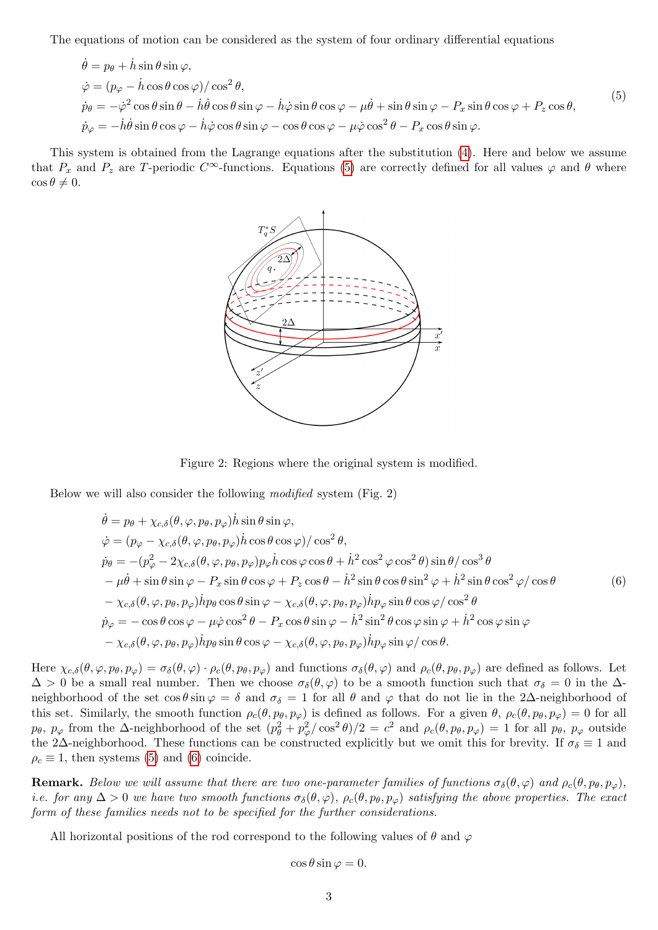The equations of motion can be considered as the system of four ordinary differential equations

$$
\dot{\theta} = p_{\theta} + \dot{h}\sin\theta\sin\varphi, \n\dot{\varphi} = (p_{\varphi} - \dot{h}\cos\theta\cos\varphi)/\cos^{2}\theta, \n\dot{p}_{\theta} = -\dot{\varphi}^{2}\cos\theta\sin\theta - \dot{h}\dot{\theta}\cos\theta\sin\varphi - \dot{h}\dot{\varphi}\sin\theta\cos\varphi - \mu\dot{\theta} + \sin\theta\sin\varphi - P_{x}\sin\theta\cos\varphi + P_{z}\cos\theta, \n\dot{p}_{\varphi} = -\dot{h}\dot{\theta}\sin\theta\cos\varphi - \dot{h}\dot{\varphi}\cos\theta\sin\varphi - \cos\theta\cos\varphi - \mu\dot{\varphi}\cos^{2}\theta - P_{x}\cos\theta\sin\varphi.
$$
\n(5)

This system is obtained from the Lagrange equations after the substitution [\(4\)](#page-1-0). Here and below we assume that  $P_x$  and  $P_z$  are T-periodic C<sup>∞</sup>-functions. Equations [\(5\)](#page-2-0) are correctly defined for all values  $\varphi$  and  $\theta$  where  $\cos \theta \neq 0.$ 

<span id="page-2-0"></span>

Figure 2: Regions where the original system is modified.

Below we will also consider the following modified system (Fig. 2)

$$
\dot{\theta} = p_{\theta} + \chi_{c,\delta}(\theta, \varphi, p_{\theta}, p_{\varphi})\dot{h}\sin\theta\sin\varphi,\n\dot{\varphi} = (p_{\varphi} - \chi_{c,\delta}(\theta, \varphi, p_{\theta}, p_{\varphi})\dot{h}\cos\theta\cos\varphi)/\cos^{2}\theta,\n\dot{p}_{\theta} = -(p_{\varphi}^{2} - 2\chi_{c,\delta}(\theta, \varphi, p_{\theta}, p_{\varphi})p_{\varphi}\dot{h}\cos\varphi\cos\theta + \dot{h}^{2}\cos^{2}\varphi\cos^{2}\theta)\sin\theta/\cos^{3}\theta\n- \mu\dot{\theta} + \sin\theta\sin\varphi - P_{x}\sin\theta\cos\varphi + P_{z}\cos\theta - \dot{h}^{2}\sin\theta\cos\theta\sin^{2}\varphi + \dot{h}^{2}\sin\theta\cos^{2}\varphi/\cos\theta\n- \chi_{c,\delta}(\theta, \varphi, p_{\theta}, p_{\varphi})\dot{h}p_{\theta}\cos\theta\sin\varphi - \chi_{c,\delta}(\theta, \varphi, p_{\theta}, p_{\varphi})\dot{h}p_{\varphi}\sin\theta\cos\varphi/\cos^{2}\theta\n\dot{p}_{\varphi} = -\cos\theta\cos\varphi - \mu\dot{\varphi}\cos^{2}\theta - P_{x}\cos\theta\sin\varphi - \dot{h}^{2}\sin^{2}\theta\cos\varphi\sin\varphi + \dot{h}^{2}\cos\varphi\sin\varphi\n- \chi_{c,\delta}(\theta, \varphi, p_{\theta}, p_{\varphi})\dot{h}p_{\theta}\sin\theta\cos\varphi - \chi_{c,\delta}(\theta, \varphi, p_{\theta}, p_{\varphi})\dot{h}p_{\varphi}\sin\varphi/\cos\theta.
$$
\n(6)

Here  $\chi_{c,\delta}(\theta,\varphi,p_{\theta},p_{\varphi})=\sigma_{\delta}(\theta,\varphi)\cdot\rho_{c}(\theta,p_{\theta},p_{\varphi})$  and functions  $\sigma_{\delta}(\theta,\varphi)$  and  $\rho_{c}(\theta,p_{\theta},p_{\varphi})$  are defined as follows. Let  $\Delta > 0$  be a small real number. Then we choose  $\sigma_{\delta}(\theta, \varphi)$  to be a smooth function such that  $\sigma_{\delta} = 0$  in the  $\Delta$ neighborhood of the set  $\cos \theta \sin \varphi = \delta$  and  $\sigma_{\delta} = 1$  for all  $\theta$  and  $\varphi$  that do not lie in the 2∆-neighborhood of this set. Similarly, the smooth function  $\rho_c(\theta, p_\theta, p_\varphi)$  is defined as follows. For a given  $\theta$ ,  $\rho_c(\theta, p_\theta, p_\varphi) = 0$  for all  $p_\theta$ ,  $p_\varphi$  from the  $\Delta$ -neighborhood of the set  $(p_\theta^2 + p_\varphi^2/\cos^2 \theta)/2 = c^2$  and  $\rho_c(\theta, p_\theta, p_\varphi) = 1$  for all  $p_\theta$ ,  $p_\varphi$  outside the 2∆-neighborhood. These functions can be constructed explicitly but we omit this for brevity. If  $\sigma_{\delta} \equiv 1$  and  $\rho_c \equiv 1$ , then systems [\(5\)](#page-2-0) and [\(6\)](#page-2-1) coincide.

**Remark.** Below we will assume that there are two one-parameter families of functions  $\sigma_{\delta}(\theta, \varphi)$  and  $\rho_c(\theta, p_{\theta}, p_{\varphi})$ , i.e. for any  $\Delta > 0$  we have two smooth functions  $\sigma_{\delta}(\theta, \varphi)$ ,  $\rho_c(\theta, p_\theta, p_\varphi)$  satisfying the above properties. The exact form of these families needs not to be specified for the further considerations.

All horizontal positions of the rod correspond to the following values of  $\theta$  and  $\varphi$ 

<span id="page-2-1"></span>
$$
\cos\theta\sin\varphi=0.
$$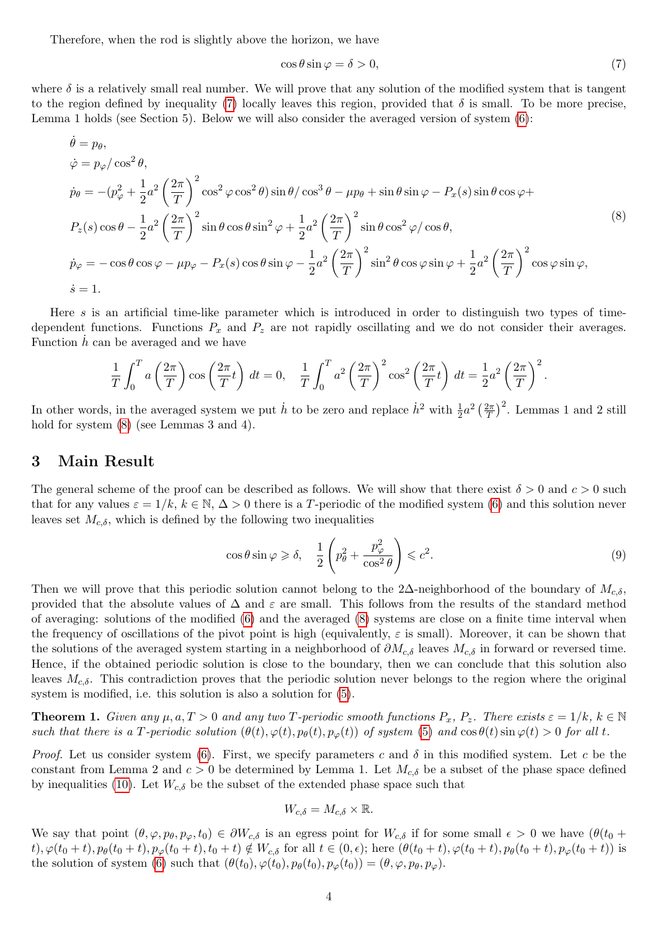Therefore, when the rod is slightly above the horizon, we have

<span id="page-3-1"></span><span id="page-3-0"></span>
$$
\cos \theta \sin \varphi = \delta > 0,\tag{7}
$$

where  $\delta$  is a relatively small real number. We will prove that any solution of the modified system that is tangent to the region defined by inequality [\(7\)](#page-3-0) locally leaves this region, provided that  $\delta$  is small. To be more precise, Lemma 1 holds (see Section 5). Below we will also consider the averaged version of system [\(6\)](#page-2-1):

$$
\dot{\theta} = p_{\theta},
$$
\n
$$
\dot{\varphi} = p_{\varphi}/\cos^{2}\theta,
$$
\n
$$
\dot{p}_{\theta} = -(p_{\varphi}^{2} + \frac{1}{2}a^{2}\left(\frac{2\pi}{T}\right)^{2}\cos^{2}\varphi\cos^{2}\theta)\sin\theta/\cos^{3}\theta - \mu p_{\theta} + \sin\theta\sin\varphi - P_{x}(s)\sin\theta\cos\varphi + P_{z}(s)\cos\theta - \frac{1}{2}a^{2}\left(\frac{2\pi}{T}\right)^{2}\sin\theta\cos\theta\sin^{2}\varphi + \frac{1}{2}a^{2}\left(\frac{2\pi}{T}\right)^{2}\sin\theta\cos^{2}\varphi/\cos\theta,
$$
\n
$$
\dot{p}_{\varphi} = -\cos\theta\cos\varphi - \mu p_{\varphi} - P_{x}(s)\cos\theta\sin\varphi - \frac{1}{2}a^{2}\left(\frac{2\pi}{T}\right)^{2}\sin^{2}\theta\cos\varphi\sin\varphi + \frac{1}{2}a^{2}\left(\frac{2\pi}{T}\right)^{2}\cos\varphi\sin\varphi,
$$
\n
$$
\dot{s} = 1.
$$
\n(8)

Here s is an artificial time-like parameter which is introduced in order to distinguish two types of timedependent functions. Functions  $P_x$  and  $P_z$  are not rapidly oscillating and we do not consider their averages. Function  $h$  can be averaged and we have

$$
\frac{1}{T} \int_0^T a\left(\frac{2\pi}{T}\right) \cos\left(\frac{2\pi}{T}t\right) dt = 0, \quad \frac{1}{T} \int_0^T a^2\left(\frac{2\pi}{T}\right)^2 \cos^2\left(\frac{2\pi}{T}t\right) dt = \frac{1}{2} a^2 \left(\frac{2\pi}{T}\right)^2.
$$

In other words, in the averaged system we put  $\dot{h}$  to be zero and replace  $\dot{h}^2$  with  $\frac{1}{2}a^2\left(\frac{2\pi}{T}\right)$  $\left(\frac{2\pi}{T}\right)^2$ . Lemmas 1 and 2 still hold for system  $(8)$  (see Lemmas 3 and 4).

#### 3 Main Result

The general scheme of the proof can be described as follows. We will show that there exist  $\delta > 0$  and  $c > 0$  such that for any values  $\varepsilon = 1/k$ ,  $k \in \mathbb{N}$ ,  $\Delta > 0$  there is a T-periodic of the modified system [\(6\)](#page-2-1) and this solution never leaves set  $M_{c,\delta}$ , which is defined by the following two inequalities

$$
\cos \theta \sin \varphi \geqslant \delta, \quad \frac{1}{2} \left( p_{\theta}^2 + \frac{p_{\varphi}^2}{\cos^2 \theta} \right) \leqslant c^2. \tag{9}
$$

Then we will prove that this periodic solution cannot belong to the 2∆-neighborhood of the boundary of  $M_{c,\delta}$ , provided that the absolute values of  $\Delta$  and  $\varepsilon$  are small. This follows from the results of the standard method of averaging: solutions of the modified [\(6\)](#page-2-1) and the averaged [\(8\)](#page-3-1) systems are close on a finite time interval when the frequency of oscillations of the pivot point is high (equivalently,  $\varepsilon$  is small). Moreover, it can be shown that the solutions of the averaged system starting in a neighborhood of  $\partial M_{c,\delta}$  leaves  $M_{c,\delta}$  in forward or reversed time. Hence, if the obtained periodic solution is close to the boundary, then we can conclude that this solution also leaves  $M_{c,\delta}$ . This contradiction proves that the periodic solution never belongs to the region where the original system is modified, i.e. this solution is also a solution for [\(5\)](#page-2-0).

**Theorem 1.** Given any  $\mu, a, T > 0$  and any two T-periodic smooth functions  $P_x, P_z$ . There exists  $\varepsilon = 1/k$ ,  $k \in \mathbb{N}$ such that there is a T-periodic solution  $(\theta(t), \varphi(t), p_{\theta}(t), p_{\varphi}(t))$  of system [\(5\)](#page-2-0) and  $\cos \theta(t) \sin \varphi(t) > 0$  for all t.

*Proof.* Let us consider system [\(6\)](#page-2-1). First, we specify parameters c and  $\delta$  in this modified system. Let c be the constant from Lemma 2 and  $c > 0$  be determined by Lemma 1. Let  $M_{c,\delta}$  be a subset of the phase space defined by inequalities [\(10\)](#page-7-0). Let  $W_{c,\delta}$  be the subset of the extended phase space such that

$$
W_{c,\delta} = M_{c,\delta} \times \mathbb{R}.
$$

We say that point  $(\theta, \varphi, p_\theta, p_\varphi, t_0) \in \partial W_{c,\delta}$  is an egress point for  $W_{c,\delta}$  if for some small  $\epsilon > 0$  we have  $(\theta(t_0 +$ t),  $\varphi(t_0+t)$ ,  $p_\theta(t_0+t)$ ,  $p_\varphi(t_0+t)$ ,  $t_0+t$ )  $\notin W_{c,\delta}$  for all  $t \in (0,\epsilon)$ ; here  $(\theta(t_0+t), \varphi(t_0+t), p_\theta(t_0+t), p_\varphi(t_0+t))$  is the solution of system [\(6\)](#page-2-1) such that  $(\theta(t_0), \varphi(t_0), p_\theta(t_0), p_\varphi(t_0)) = (\theta, \varphi, p_\theta, p_\varphi)$ .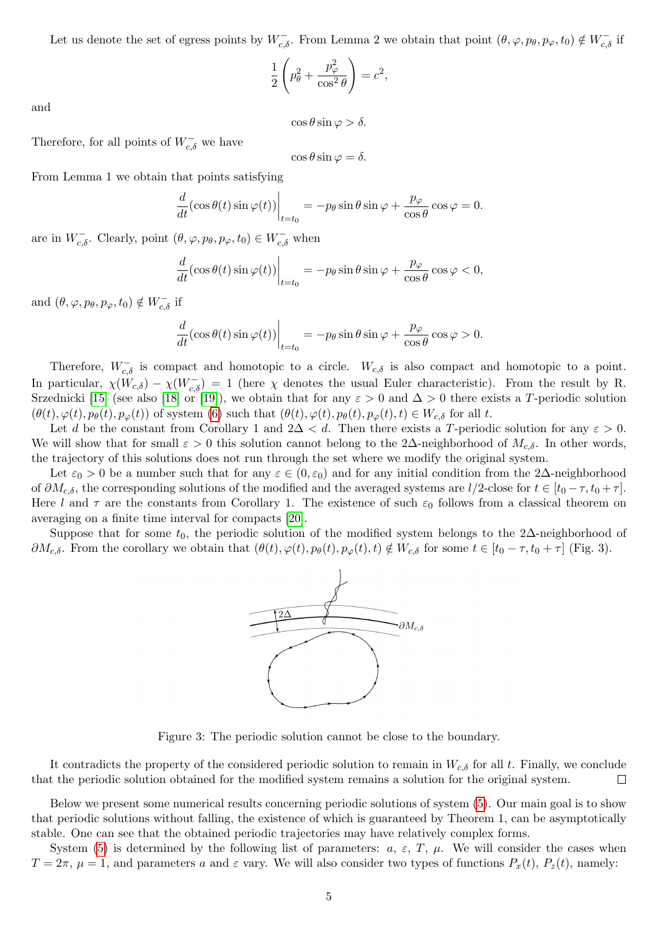Let us denote the set of egress points by  $W_{c,\delta}^-$ . From Lemma 2 we obtain that point  $(\theta,\varphi,p_\theta,p_\varphi,t_0) \notin W_{c,\delta}^-$  if

$$
\frac{1}{2}\left(p_{\theta}^2 + \frac{p_{\varphi}^2}{\cos^2\theta}\right) = c^2,
$$

and

 $\cos \theta \sin \varphi > \delta$ .

Therefore, for all points of  $W^-_{c,\delta}$  we have

$$
\cos\theta\sin\varphi=\delta.
$$

From Lemma 1 we obtain that points satisfying

$$
\frac{d}{dt}(\cos\theta(t)\sin\varphi(t))\bigg|_{t=t_0} = -p_\theta\sin\theta\sin\varphi + \frac{p_\varphi}{\cos\theta}\cos\varphi = 0.
$$

are in  $W_{c,\delta}^-$ . Clearly, point  $(\theta, \varphi, p_\theta, p_\varphi, t_0) \in W_{c,\delta}^-$  when

$$
\frac{d}{dt}(\cos\theta(t)\sin\varphi(t))\bigg|_{t=t_0} = -p_\theta\sin\theta\sin\varphi + \frac{p_\varphi}{\cos\theta}\cos\varphi < 0,
$$

and  $(\theta, \varphi, p_{\theta}, p_{\varphi}, t_0) \notin W_{c, \delta}^-$  if

$$
\frac{d}{dt}(\cos\theta(t)\sin\varphi(t))\bigg|_{t=t_0} = -p_\theta\sin\theta\sin\varphi + \frac{p_\varphi}{\cos\theta}\cos\varphi > 0.
$$

Therefore,  $W_{c,\delta}^-$  is compact and homotopic to a circle.  $W_{c,\delta}$  is also compact and homotopic to a point. In particular,  $\chi(W_{c,\delta}) - \chi(W_{c,\delta}) = 1$  (here  $\chi$  denotes the usual Euler characteristic). From the result by R. Srzednicki [\[15\]](#page-9-1) (see also [\[18\]](#page-9-4) or [\[19\]](#page-9-5)), we obtain that for any  $\varepsilon > 0$  and  $\Delta > 0$  there exists a T-periodic solution  $(\theta(t), \varphi(t), p_{\theta}(t), p_{\varphi}(t))$  of system [\(6\)](#page-2-1) such that  $(\theta(t), \varphi(t), p_{\theta}(t), p_{\varphi}(t), t) \in W_{c,\delta}$  for all t.

Let d be the constant from Corollary 1 and  $2\Delta < d$ . Then there exists a T-periodic solution for any  $\varepsilon > 0$ . We will show that for small  $\varepsilon > 0$  this solution cannot belong to the 2∆-neighborhood of  $M_{c,\delta}$ . In other words, the trajectory of this solutions does not run through the set where we modify the original system.

Let  $\varepsilon_0 > 0$  be a number such that for any  $\varepsilon \in (0, \varepsilon_0)$  and for any initial condition from the 2∆-neighborhood of  $\partial M_{c,\delta}$ , the corresponding solutions of the modified and the averaged systems are  $l/2$ -close for  $t \in [t_0 - \tau, t_0 + \tau]$ . Here l and  $\tau$  are the constants from Corollary 1. The existence of such  $\varepsilon_0$  follows from a classical theorem on averaging on a finite time interval for compacts [\[20\]](#page-9-6).

Suppose that for some  $t_0$ , the periodic solution of the modified system belongs to the 2∆-neighborhood of  $\partial M_{c,\delta}$ . From the corollary we obtain that  $(\theta(t), \varphi(t), p_{\theta}(t), p_{\varphi}(t), t) \notin W_{c,\delta}$  for some  $t \in [t_0 - \tau, t_0 + \tau]$  (Fig. 3).



Figure 3: The periodic solution cannot be close to the boundary.

It contradicts the property of the considered periodic solution to remain in  $W_{c,\delta}$  for all t. Finally, we conclude that the periodic solution obtained for the modified system remains a solution for the original system.  $\Box$ 

Below we present some numerical results concerning periodic solutions of system [\(5\)](#page-2-0). Our main goal is to show that periodic solutions without falling, the existence of which is guaranteed by Theorem 1, can be asymptotically stable. One can see that the obtained periodic trajectories may have relatively complex forms.

System [\(5\)](#page-2-0) is determined by the following list of parameters:  $a, \varepsilon, T, \mu$ . We will consider the cases when  $T = 2\pi$ ,  $\mu = 1$ , and parameters a and  $\varepsilon$  vary. We will also consider two types of functions  $P_x(t)$ ,  $P_z(t)$ , namely: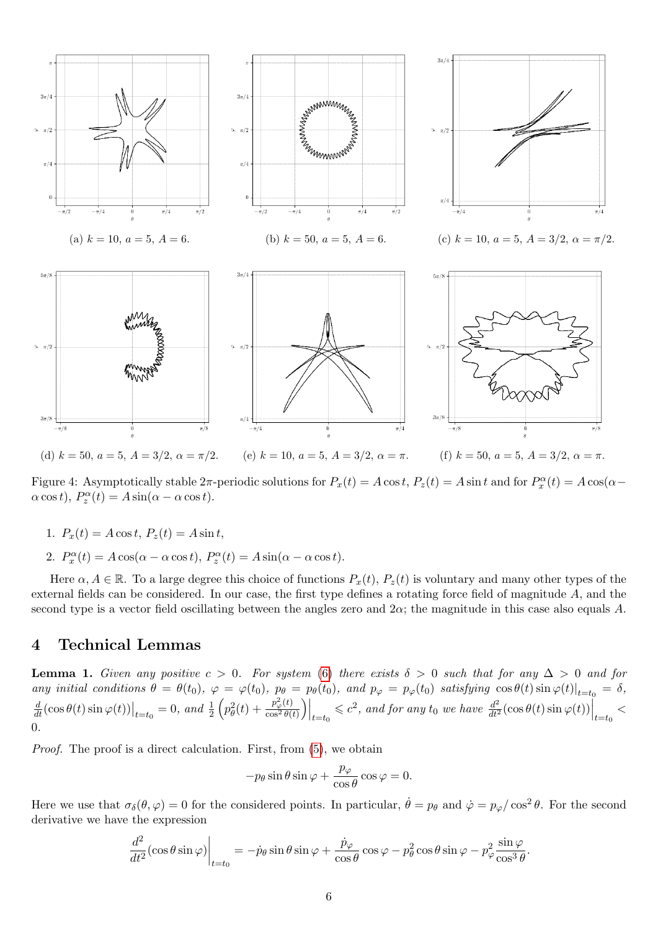

Figure 4: Asymptotically stable  $2\pi$ -periodic solutions for  $P_x(t) = A \cos t$ ,  $P_z(t) = A \sin t$  and for  $P_x^{\alpha}(t) = A \cos(\alpha - \alpha)$  $\alpha \cos t$ ,  $P_z^{\alpha}(t) = A \sin(\alpha - \alpha \cos t)$ .

- 1.  $P_x(t) = A \cos t$ ,  $P_z(t) = A \sin t$ ,
- 2.  $P_x^{\alpha}(t) = A \cos(\alpha \alpha \cos t), P_z^{\alpha}(t) = A \sin(\alpha \alpha \cos t).$

Here  $\alpha, A \in \mathbb{R}$ . To a large degree this choice of functions  $P_x(t), P_z(t)$  is voluntary and many other types of the external fields can be considered. In our case, the first type defines a rotating force field of magnitude A, and the second type is a vector field oscillating between the angles zero and  $2\alpha$ ; the magnitude in this case also equals A.

#### 4 Technical Lemmas

**Lemma 1.** Given any positive  $c > 0$ . For system [\(6\)](#page-2-1) there exists  $\delta > 0$  such that for any  $\Delta > 0$  and for any initial conditions  $\theta = \theta(t_0)$ ,  $\varphi = \varphi(t_0)$ ,  $p_\theta = p_\theta(t_0)$ , and  $p_\varphi = p_\varphi(t_0)$  satisfying  $\cos \theta(t) \sin \varphi(t)|_{t=t_0} = \delta$ ,  $\frac{d}{dt}(\cos\theta(t)\sin\varphi(t))\big|_{t=t_0} = 0$ , and  $\frac{1}{2}\left(p_\theta^2(t) + \frac{p_\varphi^2(t)}{\cos^2\theta(t)}\right)$  $\left.\frac{p_\varphi^2(t)}{\cos^2\theta(t)}\right)\right|_{t=t_0} \leqslant c^2$ , and for any  $t_0$  we have  $\left.\frac{d^2}{dt^2}(\cos\theta(t)\sin\varphi(t))\right|_{t=t_0}$ 0.

Proof. The proof is a direct calculation. First, from [\(5\)](#page-2-0), we obtain

$$
-p_{\theta}\sin\theta\sin\varphi + \frac{p_{\varphi}}{\cos\theta}\cos\varphi = 0.
$$

Here we use that  $\sigma_{\delta}(\theta,\varphi) = 0$  for the considered points. In particular,  $\dot{\theta} = p_{\theta}$  and  $\dot{\varphi} = p_{\varphi}/\cos^2 \theta$ . For the second derivative we have the expression

$$
\frac{d^2}{dt^2}(\cos\theta\sin\varphi)\bigg|_{t=t_0} = -\dot{p}_{\theta}\sin\theta\sin\varphi + \frac{\dot{p}_{\varphi}}{\cos\theta}\cos\varphi - p_{\theta}^2\cos\theta\sin\varphi - p_{\varphi}^2\frac{\sin\varphi}{\cos^3\theta}.
$$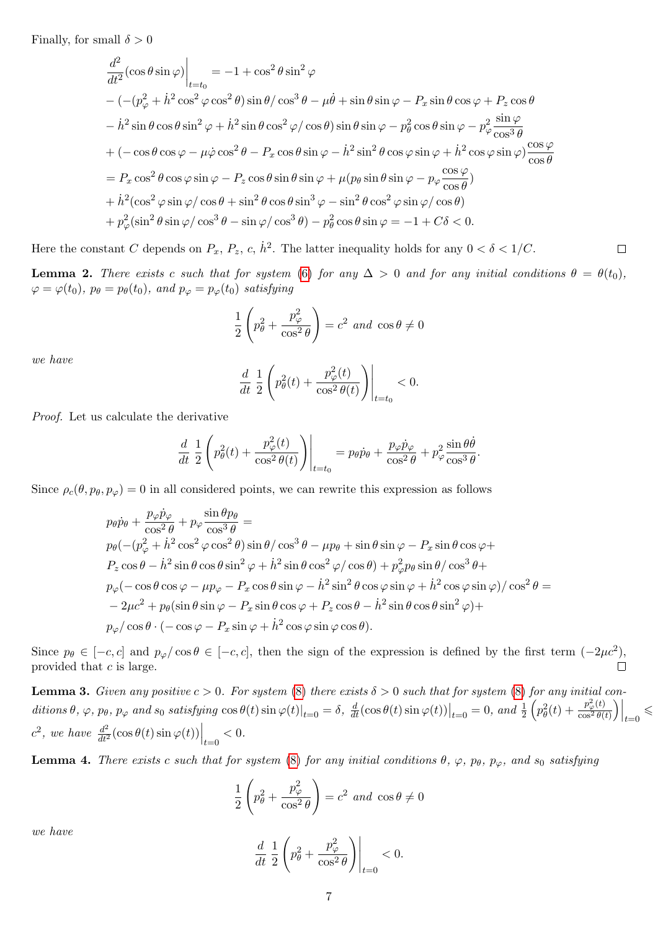Finally, for small  $\delta > 0$ 

$$
\frac{d^2}{dt^2}(\cos\theta\sin\varphi)\Big|_{t=t_0} = -1 + \cos^2\theta\sin^2\varphi
$$
  
\n
$$
-(- (p_{\varphi}^2 + \dot{h}^2\cos^2\varphi\cos^2\theta)\sin\theta/\cos^3\theta - \mu\dot{\theta} + \sin\theta\sin\varphi - P_x\sin\theta\cos\varphi + P_z\cos\theta
$$
  
\n
$$
- \dot{h}^2\sin\theta\cos\theta\sin^2\varphi + \dot{h}^2\sin\theta\cos^2\varphi/\cos\theta)\sin\theta\sin\varphi - p_{\theta}^2\cos\theta\sin\varphi - p_{\varphi}^2\frac{\sin\varphi}{\cos^3\theta}
$$
  
\n+  $(-\cos\theta\cos\varphi - \mu\dot{\varphi}\cos^2\theta - P_x\cos\theta\sin\varphi - \dot{h}^2\sin^2\theta\cos\varphi\sin\varphi + \dot{h}^2\cos\varphi\sin\varphi)\frac{\cos\varphi}{\cos\theta}$   
\n=  $P_x\cos^2\theta\cos\varphi\sin\varphi - P_z\cos\theta\sin\theta\sin\varphi + \mu(p_{\theta}\sin\theta\sin\varphi - p_{\varphi}\frac{\cos\varphi}{\cos\theta})$   
\n+  $\dot{h}^2(\cos^2\varphi\sin\varphi/\cos\theta + \sin^2\theta\cos\theta\sin^3\varphi - \sin^2\theta\cos^2\varphi\sin\varphi/\cos\theta)$   
\n+  $p_{\varphi}^2(\sin^2\theta\sin\varphi/\cos^3\theta - \sin\varphi/\cos^3\theta) - p_{\theta}^2\cos\theta\sin\varphi = -1 + C\delta < 0.$ 

Here the constant C depends on  $P_x$ ,  $P_z$ , c,  $\dot{h}^2$ . The latter inequality holds for any  $0 < \delta < 1/C$ .  $\Box$ 

**Lemma 2.** There exists c such that for system [\(6\)](#page-2-1) for any  $\Delta > 0$  and for any initial conditions  $\theta = \theta(t_0)$ ,  $\varphi = \varphi(t_0)$ ,  $p_\theta = p_\theta(t_0)$ , and  $p_\varphi = p_\varphi(t_0)$  satisfying

$$
\frac{1}{2}\left(p_{\theta}^{2} + \frac{p_{\varphi}^{2}}{\cos^{2} \theta}\right) = c^{2} \text{ and } \cos \theta \neq 0
$$

we have

$$
\frac{d}{dt}\left.\frac{1}{2}\left(p_{\theta}^{2}(t)+\frac{p_{\varphi}^{2}(t)}{\cos^{2}\theta(t)}\right)\right|_{t=t_{0}}<0.
$$

Proof. Let us calculate the derivative

$$
\frac{d}{dt}\left.\frac{1}{2}\left(p_{\theta}^{2}(t)+\frac{p_{\varphi}^{2}(t)}{\cos^{2}\theta(t)}\right)\right|_{t=t_{0}}=p_{\theta}\dot{p}_{\theta}+\frac{p_{\varphi}\dot{p}_{\varphi}}{\cos^{2}\theta}+p_{\varphi}^{2}\frac{\sin\theta\dot{\theta}}{\cos^{3}\theta}.
$$

Since  $\rho_c(\theta, p_\theta, p_\varphi) = 0$  in all considered points, we can rewrite this expression as follows

$$
p_{\theta}\dot{p}_{\theta} + \frac{p_{\varphi}\dot{p}_{\varphi}}{\cos^{2}\theta} + p_{\varphi}\frac{\sin\theta p_{\theta}}{\cos^{3}\theta} =
$$
  
\n
$$
p_{\theta}(-(p_{\varphi}^{2} + \dot{h}^{2}\cos^{2}\varphi\cos^{2}\theta)\sin\theta/\cos^{3}\theta - \mu p_{\theta} + \sin\theta\sin\varphi - P_{x}\sin\theta\cos\varphi +
$$
  
\n
$$
P_{z}\cos\theta - \dot{h}^{2}\sin\theta\cos\theta\sin^{2}\varphi + \dot{h}^{2}\sin\theta\cos^{2}\varphi/\cos\theta) + p_{\varphi}^{2}p_{\theta}\sin\theta/\cos^{3}\theta +
$$
  
\n
$$
p_{\varphi}(-\cos\theta\cos\varphi - \mu p_{\varphi} - P_{x}\cos\theta\sin\varphi - \dot{h}^{2}\sin^{2}\theta\cos\varphi\sin\varphi + \dot{h}^{2}\cos\varphi\sin\varphi)/\cos^{2}\theta =
$$
  
\n
$$
-2\mu c^{2} + p_{\theta}(\sin\theta\sin\varphi - P_{x}\sin\theta\cos\varphi + P_{z}\cos\theta - \dot{h}^{2}\sin\theta\cos\theta\sin^{2}\varphi) +
$$
  
\n
$$
p_{\varphi}/\cos\theta \cdot (-\cos\varphi - P_{x}\sin\varphi + \dot{h}^{2}\cos\varphi\sin\varphi\cos\theta).
$$

Since  $p_{\theta} \in [-c, c]$  and  $p_{\varphi}/\cos \theta \in [-c, c]$ , then the sign of the expression is defined by the first term  $(-2\mu c^2)$ , provided that  $c$  is large.

**Lemma 3.** Given any positive  $c > 0$ . For system [\(8\)](#page-3-1) there exists  $\delta > 0$  such that for system (8) for any initial con- $\left. ditions \theta, \varphi, p_\theta, p_\varphi \text{ and } s_0 \text{ satisfying } \cos \theta(t) \sin \varphi(t) \right|_{t=0} = \delta, \left. \frac{d}{dt} (\cos \theta(t) \sin \varphi(t)) \right|_{t=0} = 0, \text{ and } \frac{1}{2} \left( p_\theta^2(t) + \frac{p_\varphi^2(t)}{\cos^2 \theta(t)} \right)$  $\left. \frac{p_\varphi^2(t)}{\cos^2\theta(t)} \right) \right|_{t=0}$  $\lt$  $c^2$ , we have  $\frac{d^2}{dt^2}(\cos\theta(t)\sin\varphi(t))\Big|_{t=0} < 0.$ 

**Lemma 4.** There exists c such that for system [\(8\)](#page-3-1) for any initial conditions  $\theta$ ,  $\varphi$ ,  $p_{\theta}$ ,  $p_{\varphi}$ , and  $s_0$  satisfying

$$
\frac{1}{2}\left(p_{\theta}^{2} + \frac{p_{\varphi}^{2}}{\cos^{2} \theta}\right) = c^{2} \text{ and } \cos \theta \neq 0
$$

we have

$$
\frac{d}{dt}\left.\frac{1}{2}\left(p_{\theta}^{2} + \frac{p_{\varphi}^{2}}{\cos^{2}\theta}\right)\right|_{t=0} < 0.
$$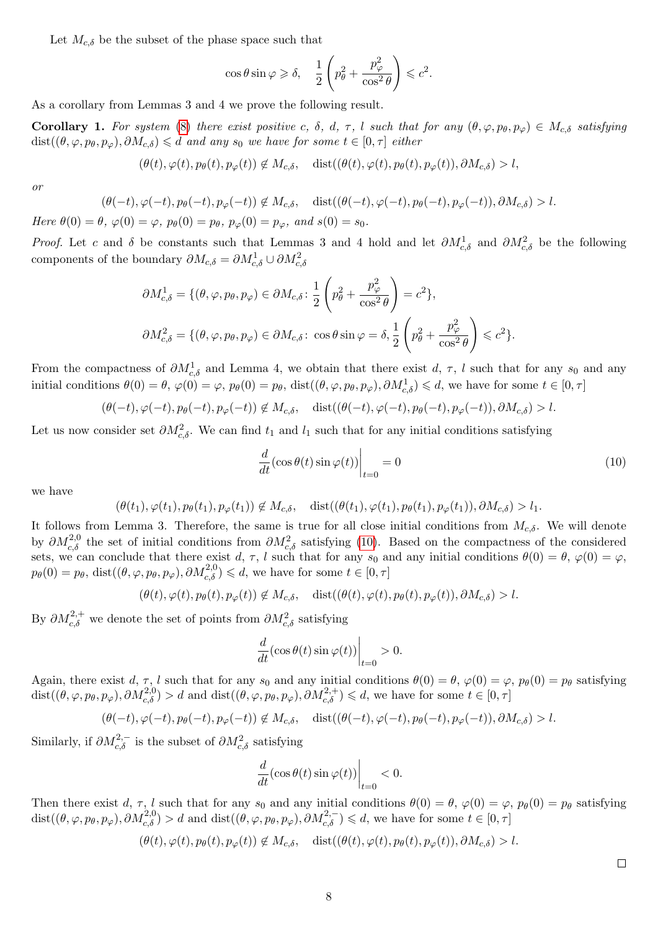Let  $M_{c,\delta}$  be the subset of the phase space such that

$$
\cos \theta \sin \varphi \geqslant \delta, \quad \frac{1}{2} \left( p_\theta^2 + \frac{p_\varphi^2}{\cos^2 \theta} \right) \leqslant c^2.
$$

As a corollary from Lemmas 3 and 4 we prove the following result.

Corollary 1. For system [\(8\)](#page-3-1) there exist positive c,  $\delta$ ,  $d$ ,  $\tau$ , l such that for any  $(\theta, \varphi, p_\theta, p_\varphi) \in M_{c,\delta}$  satisfying  $dist((\theta, \varphi, p_{\theta}, p_{\varphi}), \partial M_{c,\delta}) \leq d$  and any s<sub>0</sub> we have for some  $t \in [0, \tau]$  either

$$
(\theta(t), \varphi(t), p_{\theta}(t), p_{\varphi}(t)) \notin M_{c,\delta}, \quad \text{dist}((\theta(t), \varphi(t), p_{\theta}(t), p_{\varphi}(t)), \partial M_{c,\delta}) > l,
$$

or

$$
(\theta(-t),\varphi(-t),p_{\theta}(-t),p_{\varphi}(-t)) \notin M_{c,\delta}, \quad \text{dist}((\theta(-t),\varphi(-t),p_{\theta}(-t),p_{\varphi}(-t)),\partial M_{c,\delta}) > l.
$$

Here  $\theta(0) = \theta$ ,  $\varphi(0) = \varphi$ ,  $p_{\theta}(0) = p_{\theta}$ ,  $p_{\varphi}(0) = p_{\varphi}$ , and  $s(0) = s_0$ .

*Proof.* Let c and  $\delta$  be constants such that Lemmas 3 and 4 hold and let  $\partial M_{c,\delta}^1$  and  $\partial M_{c,\delta}^2$  be the following components of the boundary  $\partial M_{c,\delta} = \partial M_{c,\delta}^1 \cup \partial M_{c,\delta}^2$ 

$$
\partial M_{c,\delta}^1 = \{ (\theta, \varphi, p_\theta, p_\varphi) \in \partial M_{c,\delta} \colon \frac{1}{2} \left( p_\theta^2 + \frac{p_\varphi^2}{\cos^2 \theta} \right) = c^2 \},
$$
  

$$
\partial M_{c,\delta}^2 = \{ (\theta, \varphi, p_\theta, p_\varphi) \in \partial M_{c,\delta} \colon \cos \theta \sin \varphi = \delta, \frac{1}{2} \left( p_\theta^2 + \frac{p_\varphi^2}{\cos^2 \theta} \right) \leq c^2 \}.
$$

From the compactness of  $\partial M_{c,\delta}^1$  and Lemma 4, we obtain that there exist d,  $\tau$ , l such that for any  $s_0$  and any initial conditions  $\theta(0) = \theta$ ,  $\varphi(0) = \varphi$ ,  $p_{\theta}(0) = p_{\theta}$ , dist $((\theta, \varphi, p_{\theta}, p_{\varphi}), \partial M_{c,\delta}^1) \leq d$ , we have for some  $t \in [0, \tau]$ 

$$
(\theta(-t), \varphi(-t), p_{\theta}(-t), p_{\varphi}(-t)) \notin M_{c,\delta}, \quad \text{dist}((\theta(-t), \varphi(-t), p_{\theta}(-t), p_{\varphi}(-t)), \partial M_{c,\delta}) > l.
$$

Let us now consider set  $\partial M_{c,\delta}^2$ . We can find  $t_1$  and  $l_1$  such that for any initial conditions satisfying

<span id="page-7-0"></span>
$$
\frac{d}{dt}(\cos\theta(t)\sin\varphi(t))\bigg|_{t=0} = 0\tag{10}
$$

we have

$$
(\theta(t_1), \varphi(t_1), p_{\theta}(t_1), p_{\varphi}(t_1)) \notin M_{c,\delta}, \quad \text{dist}((\theta(t_1), \varphi(t_1), p_{\theta}(t_1), p_{\varphi}(t_1)), \partial M_{c,\delta}) > l_1.
$$

It follows from Lemma 3. Therefore, the same is true for all close initial conditions from  $M_{c,\delta}$ . We will denote by  $\partial M_{c,\delta}^{2,0}$  the set of initial conditions from  $\partial M_{c,\delta}^2$  satisfying [\(10\)](#page-7-0). Based on the compactness of the considered sets, we can conclude that there exist d,  $\tau$ , l such that for any  $s_0$  and any initial conditions  $\theta(0) = \theta$ ,  $\varphi(0) = \varphi$ ,  $p_{\theta}(0) = p_{\theta}$ , dist $((\theta, \varphi, p_{\theta}, p_{\varphi}), \partial M_{c,\delta}^{2,0}) \leqslant d$ , we have for some  $t \in [0, \tau]$ 

$$
(\theta(t), \varphi(t), p_{\theta}(t), p_{\varphi}(t)) \notin M_{c,\delta}, \quad \text{dist}((\theta(t), \varphi(t), p_{\theta}(t), p_{\varphi}(t)), \partial M_{c,\delta}) > l.
$$

By  $\partial M_{c,\delta}^{2,+}$  we denote the set of points from  $\partial M_{c,\delta}^2$  satisfying

$$
\frac{d}{dt}(\cos\theta(t)\sin\varphi(t))\bigg|_{t=0} > 0.
$$

Again, there exist d,  $\tau$ , l such that for any  $s_0$  and any initial conditions  $\theta(0) = \theta$ ,  $\varphi(0) = \varphi$ ,  $p_\theta(0) = p_\theta$  satisfying  $dist((\theta, \varphi, p_{\theta}, p_{\varphi}), \partial M_{c,\delta}^{2,0}) > d$  and  $dist((\theta, \varphi, p_{\theta}, p_{\varphi}), \partial M_{c,\delta}^{2,+}) \leq d$ , we have for some  $t \in [0, \tau]$ 

$$
(\theta(-t), \varphi(-t), p_{\theta}(-t), p_{\varphi}(-t)) \notin M_{c, \delta}, \quad \text{dist}((\theta(-t), \varphi(-t), p_{\theta}(-t), p_{\varphi}(-t)), \partial M_{c, \delta}) > l.
$$

Similarly, if  $\partial M_{c,\delta}^{2,-}$  is the subset of  $\partial M_{c,\delta}^2$  satisfying

$$
\frac{d}{dt}(\cos\theta(t)\sin\varphi(t))\bigg|_{t=0}<0.
$$

Then there exist d,  $\tau$ , l such that for any  $s_0$  and any initial conditions  $\theta(0) = \theta$ ,  $\varphi(0) = \varphi$ ,  $p_\theta(0) = p_\theta$  satisfying  $dist((\theta, \varphi, p_{\theta}, p_{\varphi}), \partial M_{c,\delta}^{2,0}) > d$  and  $dist((\theta, \varphi, p_{\theta}, p_{\varphi}), \partial M_{c,\delta}^{2,-}) \leq d$ , we have for some  $t \in [0, \tau]$ 

$$
(\theta(t), \varphi(t), p_{\theta}(t), p_{\varphi}(t)) \notin M_{c,\delta}, \quad \text{dist}((\theta(t), \varphi(t), p_{\theta}(t), p_{\varphi}(t)), \partial M_{c,\delta}) > l.
$$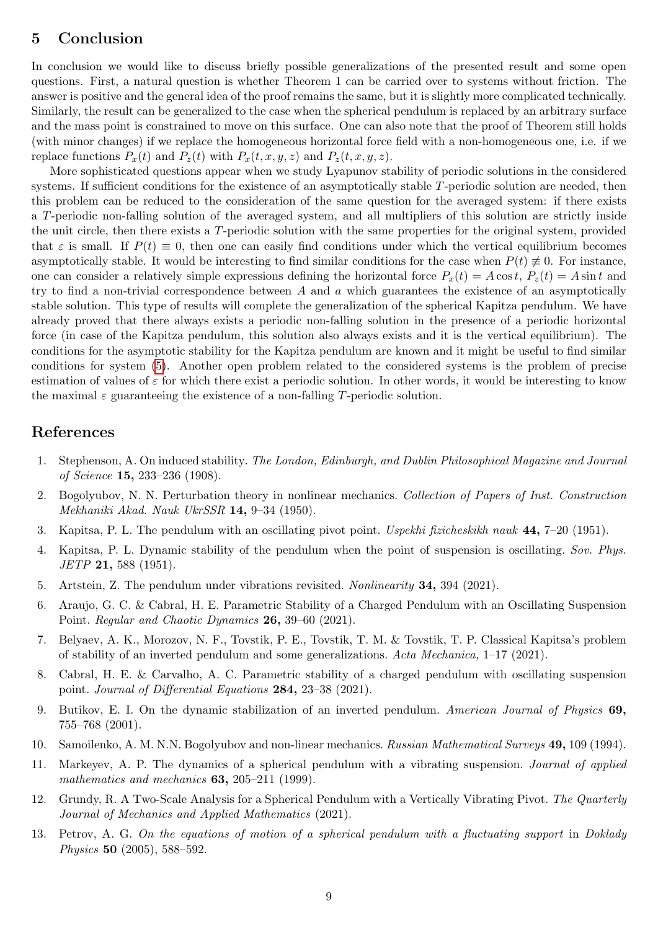## 5 Conclusion

In conclusion we would like to discuss briefly possible generalizations of the presented result and some open questions. First, a natural question is whether Theorem 1 can be carried over to systems without friction. The answer is positive and the general idea of the proof remains the same, but it is slightly more complicated technically. Similarly, the result can be generalized to the case when the spherical pendulum is replaced by an arbitrary surface and the mass point is constrained to move on this surface. One can also note that the proof of Theorem still holds (with minor changes) if we replace the homogeneous horizontal force field with a non-homogeneous one, i.e. if we replace functions  $P_x(t)$  and  $P_z(t)$  with  $P_x(t, x, y, z)$  and  $P_z(t, x, y, z)$ .

More sophisticated questions appear when we study Lyapunov stability of periodic solutions in the considered systems. If sufficient conditions for the existence of an asymptotically stable T-periodic solution are needed, then this problem can be reduced to the consideration of the same question for the averaged system: if there exists a T-periodic non-falling solution of the averaged system, and all multipliers of this solution are strictly inside the unit circle, then there exists a T-periodic solution with the same properties for the original system, provided that  $\varepsilon$  is small. If  $P(t) \equiv 0$ , then one can easily find conditions under which the vertical equilibrium becomes asymptotically stable. It would be interesting to find similar conditions for the case when  $P(t) \neq 0$ . For instance, one can consider a relatively simple expressions defining the horizontal force  $P_x(t) = A \cos t$ ,  $P_z(t) = A \sin t$  and try to find a non-trivial correspondence between  $A$  and  $a$  which guarantees the existence of an asymptotically stable solution. This type of results will complete the generalization of the spherical Kapitza pendulum. We have already proved that there always exists a periodic non-falling solution in the presence of a periodic horizontal force (in case of the Kapitza pendulum, this solution also always exists and it is the vertical equilibrium). The conditions for the asymptotic stability for the Kapitza pendulum are known and it might be useful to find similar conditions for system [\(5\)](#page-2-0). Another open problem related to the considered systems is the problem of precise estimation of values of  $\varepsilon$  for which there exist a periodic solution. In other words, it would be interesting to know the maximal  $\varepsilon$  guaranteeing the existence of a non-falling T-periodic solution.

#### References

- <span id="page-8-0"></span>1. Stephenson, A. On induced stability. The London, Edinburgh, and Dublin Philosophical Magazine and Journal of Science 15, 233–236 (1908).
- 2. Bogolyubov, N. N. Perturbation theory in nonlinear mechanics. Collection of Papers of Inst. Construction Mekhaniki Akad. Nauk UkrSSR 14, 9–34 (1950).
- 3. Kapitsa, P. L. The pendulum with an oscillating pivot point. Uspekhi fizicheskikh nauk 44, 7–20 (1951).
- <span id="page-8-1"></span>4. Kapitsa, P. L. Dynamic stability of the pendulum when the point of suspension is oscillating. Sov. Phys. JETP 21, 588 (1951).
- <span id="page-8-2"></span>5. Artstein, Z. The pendulum under vibrations revisited. Nonlinearity 34, 394 (2021).
- 6. Araujo, G. C. & Cabral, H. E. Parametric Stability of a Charged Pendulum with an Oscillating Suspension Point. Regular and Chaotic Dynamics 26, 39–60 (2021).
- 7. Belyaev, A. K., Morozov, N. F., Tovstik, P. E., Tovstik, T. M. & Tovstik, T. P. Classical Kapitsa's problem of stability of an inverted pendulum and some generalizations. Acta Mechanica, 1–17 (2021).
- <span id="page-8-3"></span>8. Cabral, H. E. & Carvalho, A. C. Parametric stability of a charged pendulum with oscillating suspension point. Journal of Differential Equations 284, 23-38 (2021).
- <span id="page-8-4"></span>9. Butikov, E. I. On the dynamic stabilization of an inverted pendulum. American Journal of Physics 69, 755–768 (2001).
- <span id="page-8-5"></span>10. Samoilenko, A. M. N.N. Bogolyubov and non-linear mechanics. Russian Mathematical Surveys 49, 109 (1994).
- <span id="page-8-6"></span>11. Markeyev, A. P. The dynamics of a spherical pendulum with a vibrating suspension. Journal of applied mathematics and mechanics **63**, 205-211 (1999).
- <span id="page-8-7"></span>12. Grundy, R. A Two-Scale Analysis for a Spherical Pendulum with a Vertically Vibrating Pivot. The Quarterly Journal of Mechanics and Applied Mathematics (2021).
- <span id="page-8-8"></span>13. Petrov, A. G. On the equations of motion of a spherical pendulum with a fluctuating support in Doklady Physics 50 (2005), 588–592.